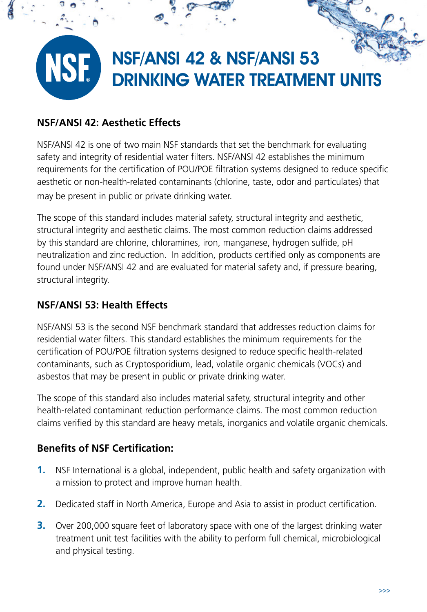

## **NSF/ANSI 42: Aesthetic Effects**

NSF/ANSI 42 is one of two main NSF standards that set the benchmark for evaluating safety and integrity of residential water filters. NSF/ANSI 42 establishes the minimum requirements for the certification of POU/POE filtration systems designed to reduce specific aesthetic or non-health-related contaminants (chlorine, taste, odor and particulates) that may be present in public or private drinking water.

The scope of this standard includes material safety, structural integrity and aesthetic, structural integrity and aesthetic claims. The most common reduction claims addressed by this standard are chlorine, chloramines, iron, manganese, hydrogen sulfide, pH neutralization and zinc reduction. In addition, products certified only as components are found under NSF/ANSI 42 and are evaluated for material safety and, if pressure bearing, structural integrity.

# **NSF/ANSI 53: Health Effects**

NSF/ANSI 53 is the second NSF benchmark standard that addresses reduction claims for residential water filters. This standard establishes the minimum requirements for the certification of POU/POE filtration systems designed to reduce specific health-related contaminants, such as Cryptosporidium, lead, volatile organic chemicals (VOCs) and asbestos that may be present in public or private drinking water.

The scope of this standard also includes material safety, structural integrity and other health-related contaminant reduction performance claims. The most common reduction claims verified by this standard are heavy metals, inorganics and volatile organic chemicals.

### **Benefits of NSF Certification:**

- **1.** NSF International is a global, independent, public health and safety organization with a mission to protect and improve human health.
- **2.** Dedicated staff in North America, Europe and Asia to assist in product certification.
- **3.** Over 200,000 square feet of laboratory space with one of the largest drinking water treatment unit test facilities with the ability to perform full chemical, microbiological and physical testing.